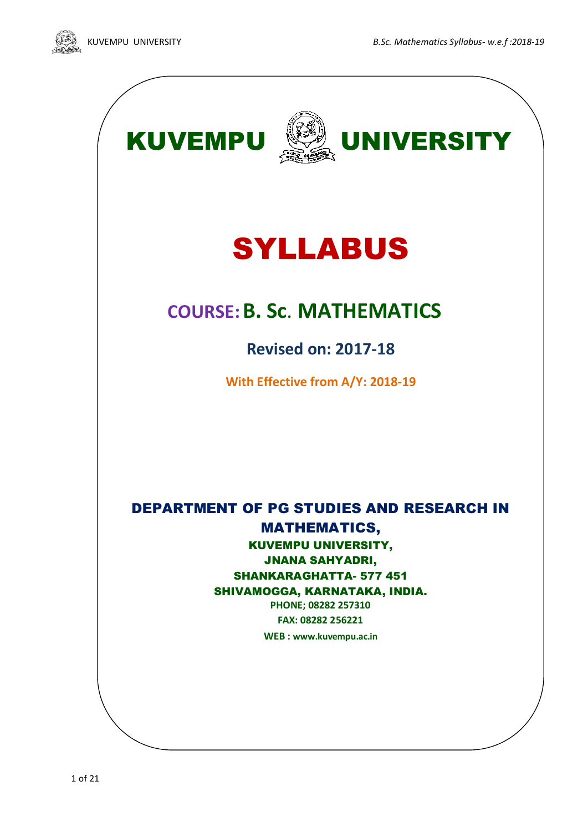



# SYLLABUS

## **COURSE:B. Sc**. **MATHEMATICS**

**Revised on: 2017-18**

**With Effective from A/Y: 2018-19**

DEPARTMENT OF PG STUDIES AND RESEARCH IN MATHEMATICS, KUVEMPU UNIVERSITY, JNANA SAHYADRI, SHANKARAGHATTA- 577 451 SHIVAMOGGA, KARNATAKA, INDIA. **PHONE; 08282 257310**

**FAX: 08282 256221 WEB : [www.kuvempu.ac.in](http://www.kuvempu.ac.in/)**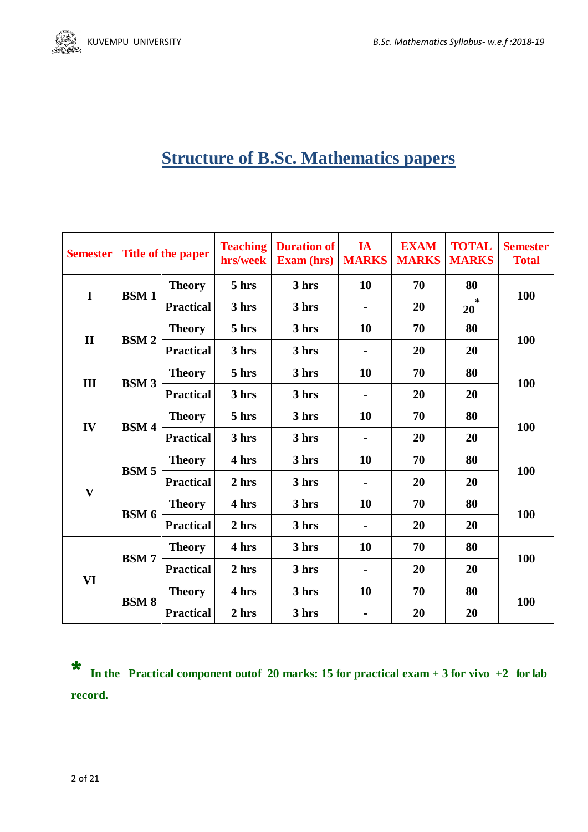

## **Structure of B.Sc. Mathematics papers**

| <b>Semester</b>         |              | Title of the paper | <b>Teaching</b><br>hrs/week | <b>Duration of</b><br><b>Exam (hrs)</b> | IA<br><b>MARKS</b> | <b>EXAM</b><br><b>MARKS</b> | <b>TOTAL</b><br><b>MARKS</b> | <b>Semester</b><br><b>Total</b> |
|-------------------------|--------------|--------------------|-----------------------------|-----------------------------------------|--------------------|-----------------------------|------------------------------|---------------------------------|
| $\mathbf I$             | <b>BSM1</b>  | <b>Theory</b>      | 5 hrs                       | 3 hrs                                   | 10                 | 70                          | 80                           |                                 |
|                         |              | <b>Practical</b>   | 3 hrs                       | 3 hrs                                   |                    | 20                          | $\star$<br>20                | 100                             |
| $\mathbf{I}$            | <b>BSM2</b>  | <b>Theory</b>      | 5 hrs                       | 3 hrs                                   | 10                 | 70                          | 80                           | 100                             |
|                         |              | <b>Practical</b>   | 3 hrs                       | 3 hrs                                   |                    | 20                          | 20                           |                                 |
|                         |              | <b>Theory</b>      | 5 hrs                       | 3 hrs                                   | 10                 | 70                          | 80                           | 100                             |
| III                     | <b>BSM3</b>  | <b>Practical</b>   | 3 hrs                       | 3 hrs                                   |                    | 20                          | 20                           |                                 |
| IV                      | <b>BSM4</b>  | <b>Theory</b>      | 5 hrs                       | 3 hrs                                   | 10                 | 70                          | 80                           | 100                             |
|                         |              | <b>Practical</b>   | 3 hrs                       | 3 hrs                                   |                    | 20                          | 20                           |                                 |
|                         | <b>BSM5</b>  | <b>Theory</b>      | 4 hrs                       | 3 hrs                                   | 10                 | 70                          | 80                           | 100                             |
|                         |              | <b>Practical</b>   | 2 hrs                       | 3 hrs                                   |                    | 20                          | 20                           |                                 |
| $\overline{\mathbf{V}}$ | BSM 6        | <b>Theory</b>      | 4 hrs                       | 3 hrs                                   | 10                 | 70                          | 80                           | 100                             |
|                         |              | <b>Practical</b>   | 2 hrs                       | 3 hrs                                   |                    | 20                          | 20                           |                                 |
| VI                      | <b>BSM7</b>  | <b>Theory</b>      | 4 hrs                       | 3 hrs                                   | 10                 | 70                          | 80                           |                                 |
|                         |              | <b>Practical</b>   | 2 hrs                       | 3 hrs                                   |                    | 20                          | 20                           | 100                             |
|                         | <b>BSM 8</b> | <b>Theory</b>      | 4 hrs                       | 3 hrs                                   | 10                 | 70                          | 80                           |                                 |
|                         |              | <b>Practical</b>   | 2 hrs                       | 3 hrs                                   |                    | 20                          | 20                           | 100                             |

\* **In the Practical component outof 20 marks: 15 for practical exam + <sup>3</sup> for vivo +2 for lab record.**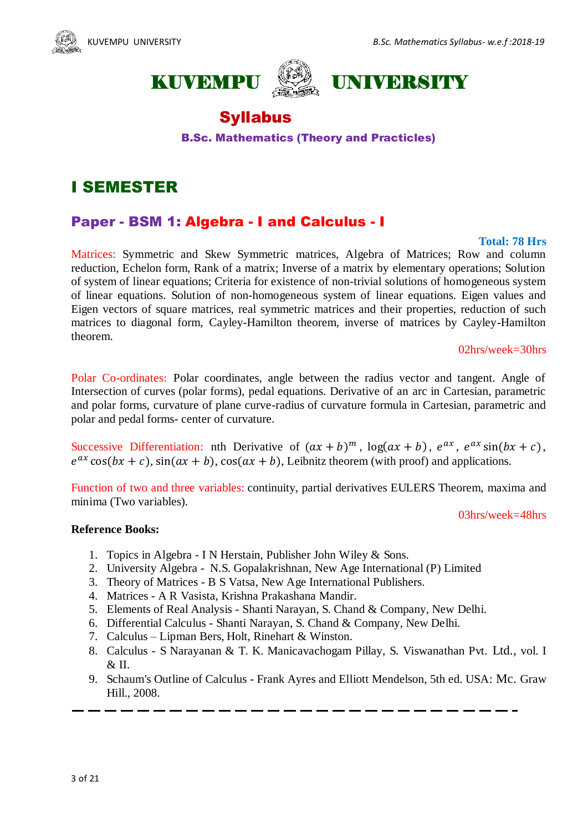





## **Syllabus**

B.Sc. Mathematics (Theory and Practicles)

## I SEMESTER

## Paper - BSM 1: Algebra - I and Calculus - I

#### **Total: 78 Hrs**

Matrices: Symmetric and Skew Symmetric matrices, Algebra of Matrices; Row and column reduction, Echelon form, Rank of a matrix; Inverse of a matrix by elementary operations; Solution of system of linear equations; Criteria for existence of non-trivial solutions of homogeneous system of linear equations. Solution of non-homogeneous system of linear equations. Eigen values and Eigen vectors of square matrices, real symmetric matrices and their properties, reduction of such matrices to diagonal form, Cayley-Hamilton theorem, inverse of matrices by Cayley-Hamilton theorem.

#### 02hrs/week=30hrs

Polar Co-ordinates: Polar coordinates, angle between the radius vector and tangent. Angle of Intersection of curves (polar forms), pedal equations. Derivative of an arc in Cartesian, parametric and polar forms, curvature of plane curve-radius of curvature formula in Cartesian, parametric and polar and pedal forms- center of curvature.

Successive Differentiation: nth Derivative of  $(ax + b)^m$ ,  $log(ax + b)$ ,  $e^{ax}$ ,  $e^{ax} sin(bx + c)$ ,  $e^{ax}\cos(bx + c)$ ,  $\sin(ax + b)$ ,  $\cos(ax + b)$ , Leibnitz theorem (with proof) and applications.

Function of two and three variables: continuity, partial derivatives EULERS Theorem, maxima and minima (Two variables).

#### 03hrs/week=48hrs

#### **Reference Books:**

- 1. Topics in Algebra I N Herstain, Publisher John Wiley & Sons.
- 2. University Algebra N.S. Gopalakrishnan, New Age International (P) Limited
- 3. Theory of Matrices B S Vatsa, New Age International Publishers.
- 4. Matrices A R Vasista, Krishna Prakashana Mandir.
- 5. Elements of Real Analysis Shanti Narayan, S. Chand & Company, New Delhi.
- 6. Differential Calculus Shanti Narayan, S. Chand & Company, New Delhi.
- 7. Calculus Lipman Bers, Holt, Rinehart & Winston.
- 8. Calculus S Narayanan & T. K. Manicavachogam Pillay, S. Viswanathan Pvt. Ltd., vol. I & II.
- 9. Schaum's Outline of Calculus Frank Ayres and Elliott Mendelson, 5th ed. USA: Mc. Graw Hill., 2008.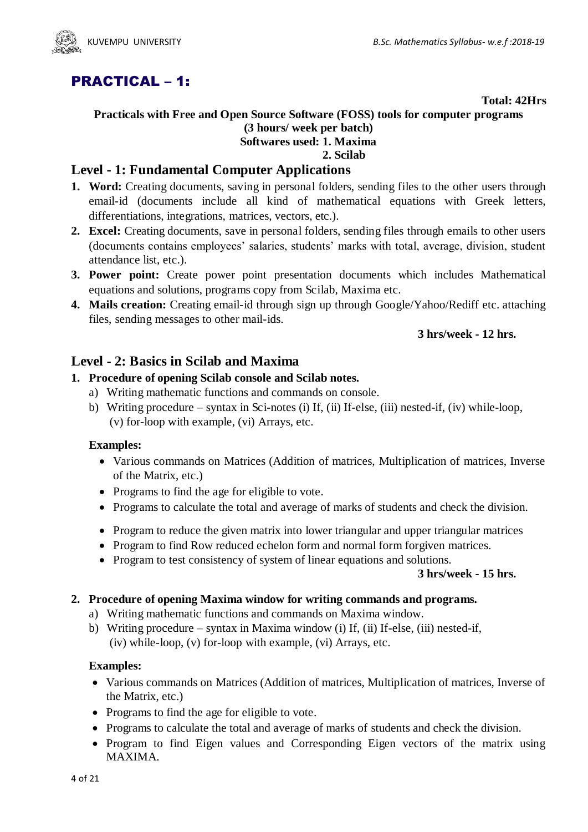

## PRACTICAL – 1:

#### **Total: 42Hrs**

### **Practicals with Free and Open Source Software (FOSS) tools for computer programs (3 hours/ week per batch) Softwares used: 1. Maxima**

## **2. Scilab**

## **Level - 1: Fundamental Computer Applications**

- **1. Word:** Creating documents, saving in personal folders, sending files to the other users through email-id (documents include all kind of mathematical equations with Greek letters, differentiations, integrations, matrices, vectors, etc.).
- **2. Excel:** Creating documents, save in personal folders, sending files through emails to other users (documents contains employees' salaries, students' marks with total, average, division, student attendance list, etc.).
- **3. Power point:** Create power point presentation documents which includes Mathematical equations and solutions, programs copy from Scilab, Maxima etc.
- **4. Mails creation:** Creating email-id through sign up through Google/Yahoo/Rediff etc. attaching files, sending messages to other mail-ids.

## **3 hrs/week - 12 hrs.**

## **Level - 2: Basics in Scilab and Maxima**

## **1. Procedure of opening Scilab console and Scilab notes.**

- a) Writing mathematic functions and commands on console.
- b) Writing procedure syntax in Sci-notes (i) If, (ii) If-else, (iii) nested-if, (iv) while-loop, (v) for-loop with example, (vi) Arrays, etc.

#### **Examples:**

- Various commands on Matrices (Addition of matrices, Multiplication of matrices, Inverse of the Matrix, etc.)
- Programs to find the age for eligible to vote.
- Programs to calculate the total and average of marks of students and check the division.
- Program to reduce the given matrix into lower triangular and upper triangular matrices
- Program to find Row reduced echelon form and normal form for given matrices.
- Program to test consistency of system of linear equations and solutions.

#### **3 hrs/week - 15 hrs.**

## **2. Procedure of opening Maxima window for writing commands and programs.**

- a) Writing mathematic functions and commands on Maxima window.
- b) Writing procedure syntax in Maxima window (i) If, (ii) If-else, (iii) nested-if, (iv) while-loop, (v) for-loop with example, (vi) Arrays, etc.

#### **Examples:**

- Various commands on Matrices (Addition of matrices, Multiplication of matrices, Inverse of the Matrix, etc.)
- Programs to find the age for eligible to vote.
- Programs to calculate the total and average of marks of students and check the division.
- Program to find Eigen values and Corresponding Eigen vectors of the matrix using MAXIMA.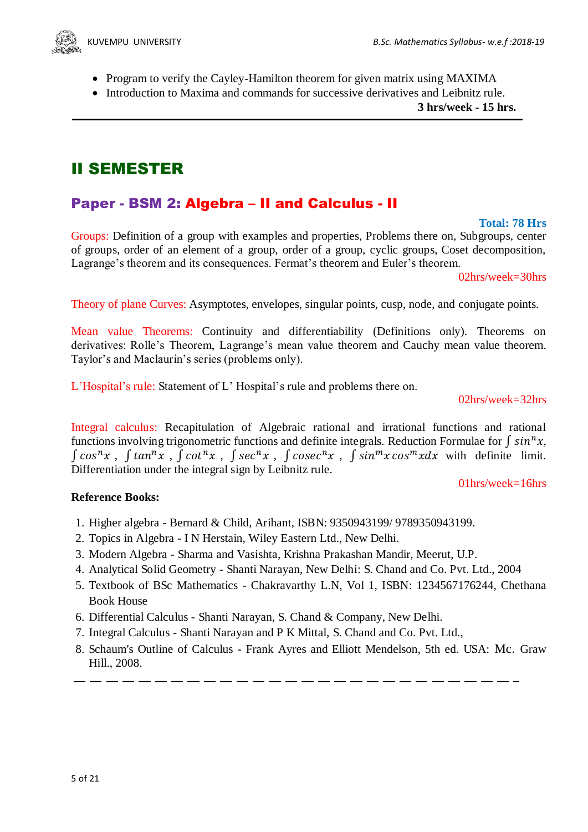- Program to verify the Cayley-Hamilton theorem for given matrix using MAXIMA
- Introduction to Maxima and commands for successive derivatives and Leibnitz rule.

 **3 hrs/week - 15 hrs.**

## II SEMESTER

## Paper - BSM 2: Algebra – II and Calculus - II

### **Total: 78 Hrs**

Groups: Definition of a group with examples and properties, Problems there on, Subgroups, center of groups, order of an element of a group, order of a group, cyclic groups, Coset decomposition, Lagrange's theorem and its consequences. Fermat's theorem and Euler's theorem.

02hrs/week=30hrs

Theory of plane Curves: Asymptotes, envelopes, singular points, cusp, node, and conjugate points.

Mean value Theorems: Continuity and differentiability (Definitions only). Theorems on derivatives: Rolle's Theorem, Lagrange's mean value theorem and Cauchy mean value theorem. Taylor's and Maclaurin's series (problems only).

L'Hospital's rule: Statement of L' Hospital's rule and problems there on.

02hrs/week=32hrs

Integral calculus: Recapitulation of Algebraic rational and irrational functions and rational functions involving trigonometric functions and definite integrals. Reduction Formulae for  $\int \sin^n x$ ,  $\int \cos^n x$ ,  $\int \tan^n x$ ,  $\int \cot^n x$ ,  $\int \sec^n x$ ,  $\int \csc^n x$ ,  $\int \sin^m x \cos^m x dx$  with definite limit. Differentiation under the integral sign by Leibnitz rule.

### 01hrs/week=16hrs

## **Reference Books:**

- 1. Higher algebra Bernard & Child, Arihant, ISBN: 9350943199/ 9789350943199.
- 2. Topics in Algebra I N Herstain, Wiley Eastern Ltd., New Delhi.
- 3. Modern Algebra Sharma and Vasishta, Krishna Prakashan Mandir, Meerut, U.P.
- 4. Analytical Solid Geometry Shanti Narayan, New Delhi: S. Chand and Co. Pvt. Ltd., 2004
- 5. Textbook of BSc Mathematics Chakravarthy L.N, Vol 1, ISBN: 1234567176244, Chethana Book House
- 6. Differential Calculus Shanti Narayan, S. Chand & Company, New Delhi.
- 7. Integral Calculus Shanti Narayan and P K Mittal, S. Chand and Co. Pvt. Ltd.,
- 8. Schaum's Outline of Calculus Frank Ayres and Elliott Mendelson, 5th ed. USA: Mc. Graw Hill., 2008.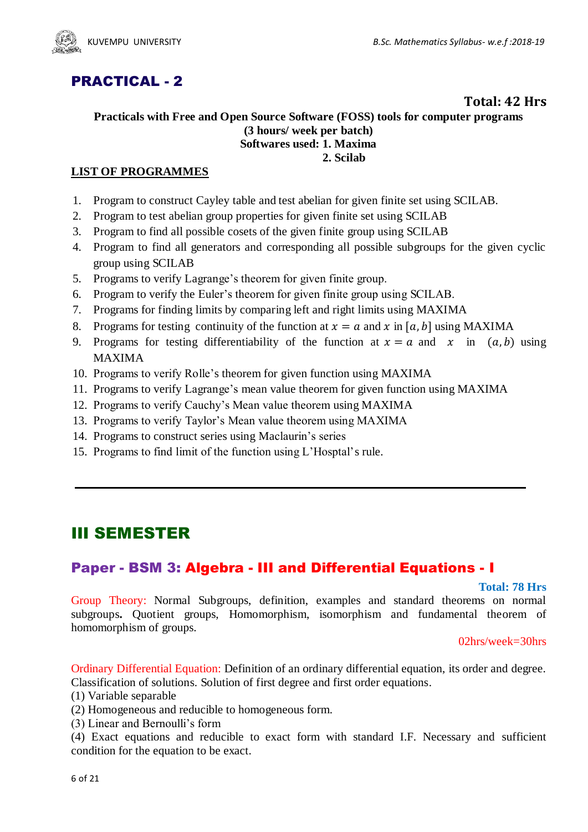

## PRACTICAL - 2

## **Total: 42 Hrs**

### **Practicals with Free and Open Source Software (FOSS) tools for computer programs (3 hours/ week per batch) Softwares used: 1. Maxima 2. Scilab**

## **LIST OF PROGRAMMES**

- 1. Program to construct Cayley table and test abelian for given finite set using SCILAB.
- 2. Program to test abelian group properties for given finite set using SCILAB
- 3. Program to find all possible cosets of the given finite group using SCILAB
- 4. Program to find all generators and corresponding all possible subgroups for the given cyclic group using SCILAB
- 5. Programs to verify Lagrange's theorem for given finite group.
- 6. Program to verify the Euler's theorem for given finite group using SCILAB.
- 7. Programs for finding limits by comparing left and right limits using MAXIMA
- 8. Programs for testing continuity of the function at  $x = a$  and x in [a, b] using MAXIMA
- 9. Programs for testing differentiability of the function at  $x = a$  and x in  $(a, b)$  using MAXIMA
- 10. Programs to verify Rolle's theorem for given function using MAXIMA
- 11. Programs to verify Lagrange's mean value theorem for given function using MAXIMA
- 12. Programs to verify Cauchy's Mean value theorem using MAXIMA
- 13. Programs to verify Taylor's Mean value theorem using MAXIMA
- 14. Programs to construct series using Maclaurin's series
- 15. Programs to find limit of the function using L'Hosptal's rule.

## III SEMESTER

## Paper - BSM 3: Algebra - III and Differential Equations - I

#### **Total: 78 Hrs**

Group Theory: Normal Subgroups, definition, examples and standard theorems on normal subgroups**.** Quotient groups, Homomorphism, isomorphism and fundamental theorem of homomorphism of groups.

02hrs/week=30hrs

Ordinary Differential Equation: Definition of an ordinary differential equation, its order and degree. Classification of solutions. Solution of first degree and first order equations.

- (1) Variable separable
- (2) Homogeneous and reducible to homogeneous form.
- (3) Linear and Bernoulli's form
- (4) Exact equations and reducible to exact form with standard I.F. Necessary and sufficient condition for the equation to be exact.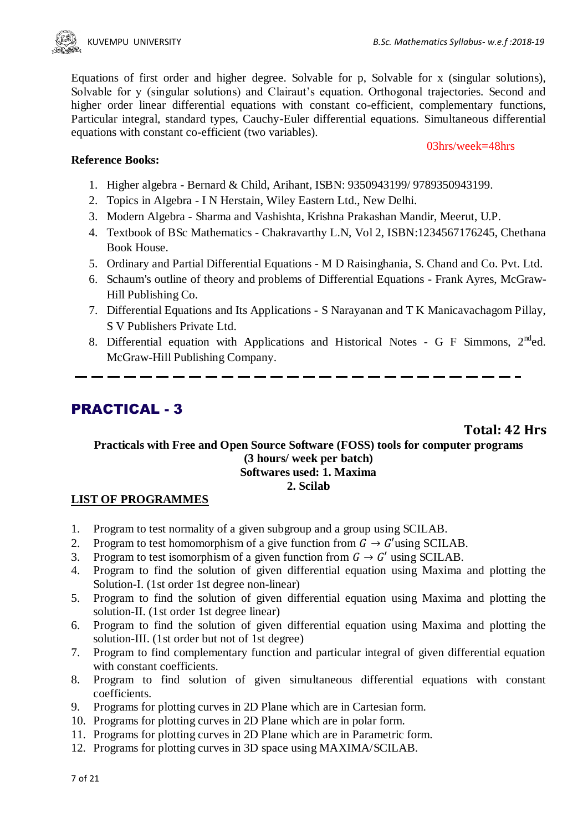

Equations of first order and higher degree. Solvable for p, Solvable for x (singular solutions), Solvable for y (singular solutions) and Clairaut's equation. Orthogonal trajectories. Second and higher order linear differential equations with constant co-efficient, complementary functions, Particular integral, standard types, Cauchy-Euler differential equations. Simultaneous differential equations with constant co-efficient (two variables).

#### 03hrs/week=48hrs

## **Reference Books:**

- 1. Higher algebra Bernard & Child, Arihant, ISBN: 9350943199/ 9789350943199.
- 2. Topics in Algebra I N Herstain, Wiley Eastern Ltd., New Delhi.
- 3. Modern Algebra Sharma and Vashishta, Krishna Prakashan Mandir, Meerut, U.P.
- 4. Textbook of BSc Mathematics Chakravarthy L.N, Vol 2, ISBN:1234567176245, Chethana Book House.
- 5. Ordinary and Partial Differential Equations M D Raisinghania, S. Chand and Co. Pvt. Ltd.
- 6. Schaum's outline of theory and problems of Differential Equations Frank Ayres, McGraw-Hill Publishing Co.
- 7. Differential Equations and Its Applications S Narayanan and T K Manicavachagom Pillay, S V Publishers Private Ltd.
- 8. Differential equation with Applications and Historical Notes G F Simmons,  $2^{nd}$ ed. McGraw-Hill Publishing Company.

## PRACTICAL - 3

**Total: 42 Hrs**

**Practicals with Free and Open Source Software (FOSS) tools for computer programs (3 hours/ week per batch) Softwares used: 1. Maxima 2. Scilab**

## **LIST OF PROGRAMMES**

- 1. Program to test normality of a given subgroup and a group using SCILAB.
- 2. Program to test homomorphism of a give function from  $G \rightarrow G'$ using SCILAB.
- 3. Program to test isomorphism of a given function from  $G \rightarrow G'$  using SCILAB.
- 4. Program to find the solution of given differential equation using Maxima and plotting the Solution-I. (1st order 1st degree non-linear)
- 5. Program to find the solution of given differential equation using Maxima and plotting the solution-II. (1st order 1st degree linear)
- 6. Program to find the solution of given differential equation using Maxima and plotting the solution-III. (1st order but not of 1st degree)
- 7. Program to find complementary function and particular integral of given differential equation with constant coefficients.
- 8. Program to find solution of given simultaneous differential equations with constant coefficients.
- 9. Programs for plotting curves in 2D Plane which are in Cartesian form.
- 10. Programs for plotting curves in 2D Plane which are in polar form.
- 11. Programs for plotting curves in 2D Plane which are in Parametric form.
- 12. Programs for plotting curves in 3D space using MAXIMA/SCILAB.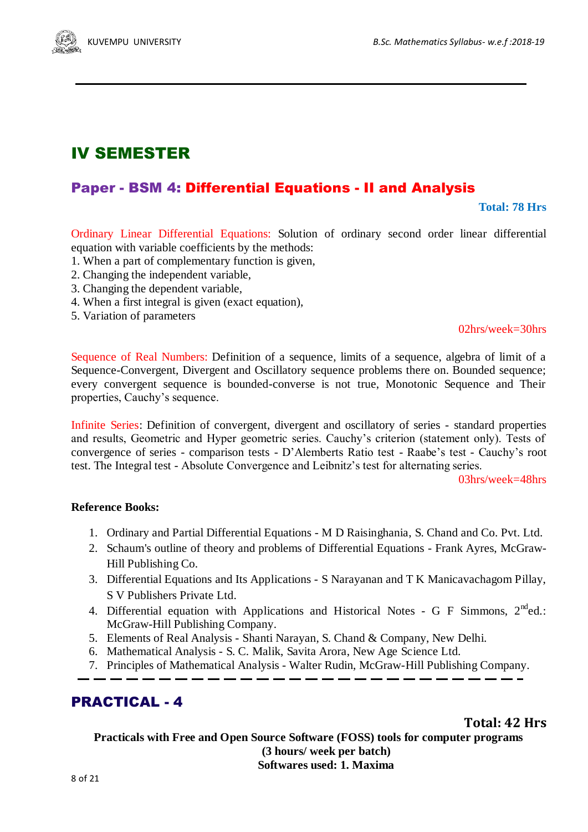## IV SEMESTER

## Paper - BSM 4: Differential Equations - II and Analysis

**Total: 78 Hrs**

Ordinary Linear Differential Equations: Solution of ordinary second order linear differential equation with variable coefficients by the methods:

- 1. When a part of complementary function is given,
- 2. Changing the independent variable,
- 3. Changing the dependent variable,
- 4. When a first integral is given (exact equation),
- 5. Variation of parameters

## 02hrs/week=30hrs

Sequence of Real Numbers: Definition of a sequence, limits of a sequence, algebra of limit of a Sequence-Convergent, Divergent and Oscillatory sequence problems there on. Bounded sequence; every convergent sequence is bounded-converse is not true, Monotonic Sequence and Their properties, Cauchy's sequence.

Infinite Series: Definition of convergent, divergent and oscillatory of series - standard properties and results, Geometric and Hyper geometric series. Cauchy's criterion (statement only). Tests of convergence of series - comparison tests - D'Alemberts Ratio test - Raabe's test - Cauchy's root test. The Integral test - Absolute Convergence and Leibnitz's test for alternating series.

03hrs/week=48hrs

## **Reference Books:**

- 1. Ordinary and Partial Differential Equations M D Raisinghania, S. Chand and Co. Pvt. Ltd.
- 2. Schaum's outline of theory and problems of Differential Equations Frank Ayres, McGraw-Hill Publishing Co.
- 3. Differential Equations and Its Applications S Narayanan and T K Manicavachagom Pillay, S V Publishers Private Ltd.
- 4. Differential equation with Applications and Historical Notes G F Simmons,  $2^{nd}$ ed.: McGraw-Hill Publishing Company.
- 5. Elements of Real Analysis Shanti Narayan, S. Chand & Company, New Delhi.

 $\overline{\phantom{a}}$   $\overline{\phantom{a}}$  .

- 6. Mathematical Analysis S. C. Malik, Savita Arora, New Age Science Ltd.
- 7. Principles of Mathematical Analysis Walter Rudin, McGraw-Hill Publishing Company.

## PRACTICAL - 4

**Total: 42 Hrs**

**Practicals with Free and Open Source Software (FOSS) tools for computer programs (3 hours/ week per batch) Softwares used: 1. Maxima**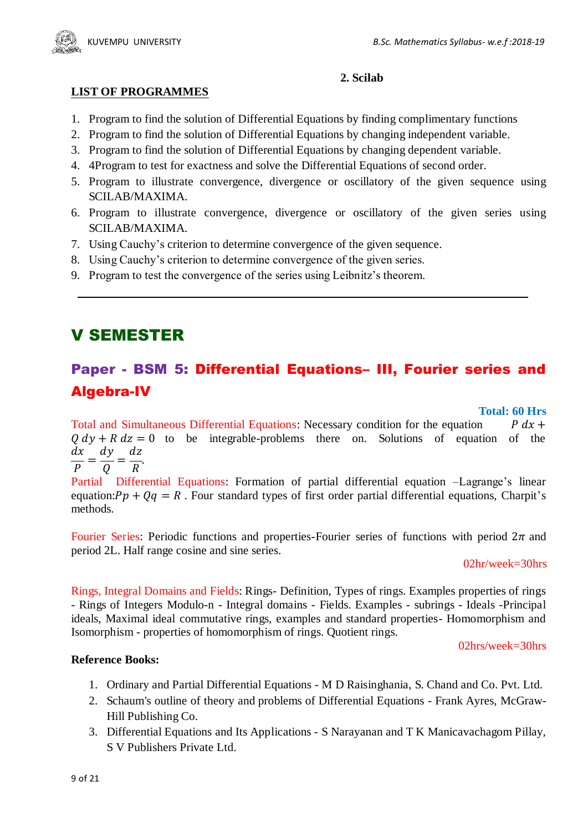

### **2. Scilab**

- **LIST OF PROGRAMMES**
- 1. Program to find the solution of Differential Equations by finding complimentary functions
- 2. Program to find the solution of Differential Equations by changing independent variable.
- 3. Program to find the solution of Differential Equations by changing dependent variable.
- 4. 4Program to test for exactness and solve the Differential Equations of second order.
- 5. Program to illustrate convergence, divergence or oscillatory of the given sequence using SCILAB/MAXIMA.
- 6. Program to illustrate convergence, divergence or oscillatory of the given series using SCILAB/MAXIMA.
- 7. Using Cauchy's criterion to determine convergence of the given sequence.
- 8. Using Cauchy's criterion to determine convergence of the given series.
- 9. Program to test the convergence of the series using Leibnitz's theorem.

## V SEMESTER

## Paper - BSM 5: Differential Equations– III, Fourier series and Algebra-IV

### **Total: 60 Hrs**

Total and Simultaneous Differential Equations: Necessary condition for the equation  $P$  dx +  $0 dv + R dz = 0$  to be integrable-problems there on. Solutions of equation of the  $\boldsymbol{d}$  $\boldsymbol{d}$  $\boldsymbol{d}$  $=$  $=$ .  $\overline{P}$ Q  $\boldsymbol{R}$ 

Partial Differential Equations: Formation of partial differential equation –Lagrange's linear equation:  $Pp + Qq = R$ . Four standard types of first order partial differential equations, Charpit's methods.

Fourier Series: Periodic functions and properties-Fourier series of functions with period  $2\pi$  and period 2L. Half range cosine and sine series.

02hr/week=30hrs

Rings, Integral Domains and Fields: Rings- Definition, Types of rings. Examples properties of rings - Rings of Integers Modulo-n - Integral domains - Fields. Examples - subrings - Ideals -Principal ideals, Maximal ideal commutative rings, examples and standard properties- Homomorphism and Isomorphism - properties of homomorphism of rings. Quotient rings.

#### 02hrs/week=30hrs

## **Reference Books:**

- 1. Ordinary and Partial Differential Equations M D Raisinghania, S. Chand and Co. Pvt. Ltd.
- 2. Schaum's outline of theory and problems of Differential Equations Frank Ayres, McGraw-Hill Publishing Co.
- 3. Differential Equations and Its Applications S Narayanan and T K Manicavachagom Pillay, S V Publishers Private Ltd.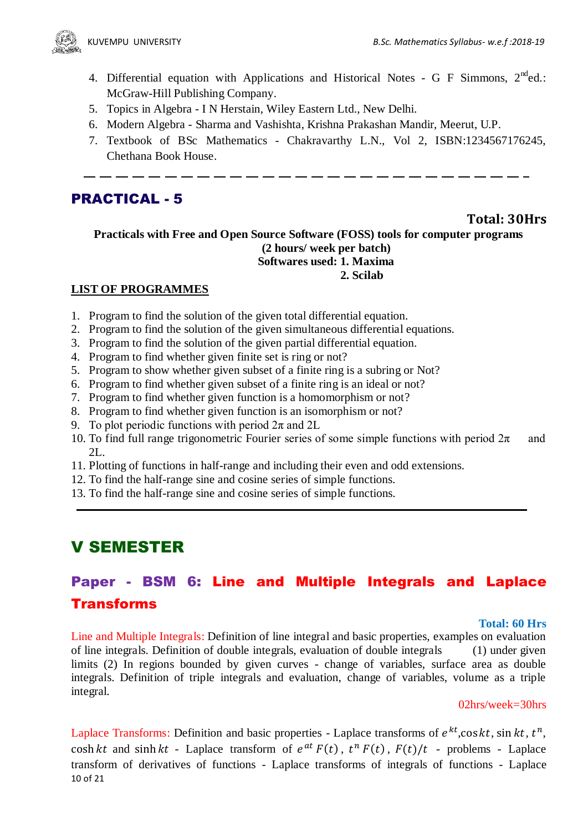- 4. Differential equation with Applications and Historical Notes G F Simmons,  $2^{nd}$ ed.: McGraw-Hill Publishing Company.
- 5. Topics in Algebra I N Herstain, Wiley Eastern Ltd., New Delhi.
- 6. Modern Algebra Sharma and Vashishta, Krishna Prakashan Mandir, Meerut, U.P.
- 7. Textbook of BSc Mathematics Chakravarthy L.N., Vol 2, ISBN:1234567176245, Chethana Book House.

## PRACTICAL - 5

## **Total: 30Hrs**

**Practicals with Free and Open Source Software (FOSS) tools for computer programs (2 hours/ week per batch) Softwares used: 1. Maxima 2. Scilab**

## **LIST OF PROGRAMMES**

- 1. Program to find the solution of the given total differential equation.
- 2. Program to find the solution of the given simultaneous differential equations.
- 3. Program to find the solution of the given partial differential equation.
- 4. Program to find whether given finite set is ring or not?
- 5. Program to show whether given subset of a finite ring is a subring or Not?
- 6. Program to find whether given subset of a finite ring is an ideal or not?
- 7. Program to find whether given function is a homomorphism or not?
- 8. Program to find whether given function is an isomorphism or not?
- 9. To plot periodic functions with period  $2\pi$  and  $2L$
- 10. To find full range trigonometric Fourier series of some simple functions with period  $2\pi$  and  $2L$ .
- 11. Plotting of functions in half-range and including their even and odd extensions.
- 12. To find the half-range sine and cosine series of simple functions.
- 13. To find the half-range sine and cosine series of simple functions.

## V SEMESTER

## Paper - BSM 6: Line and Multiple Integrals and Laplace Transforms

#### **Total: 60 Hrs**

Line and Multiple Integrals: Definition of line integral and basic properties, examples on evaluation of line integrals. Definition of double integrals, evaluation of double integrals (1) under given limits (2) In regions bounded by given curves - change of variables, surface area as double integrals. Definition of triple integrals and evaluation, change of variables, volume as a triple integral.

#### 02hrs/week=30hrs

10 of 21 Laplace Transforms: Definition and basic properties - Laplace transforms of  $e^{kt}$ , cos kt, sin kt,  $t^n$ , cosh kt and sinh kt - Laplace transform of  $e^{at} F(t)$ ,  $t^n F(t)$ ,  $F(t)/t$  - problems - Laplace transform of derivatives of functions - Laplace transforms of integrals of functions - Laplace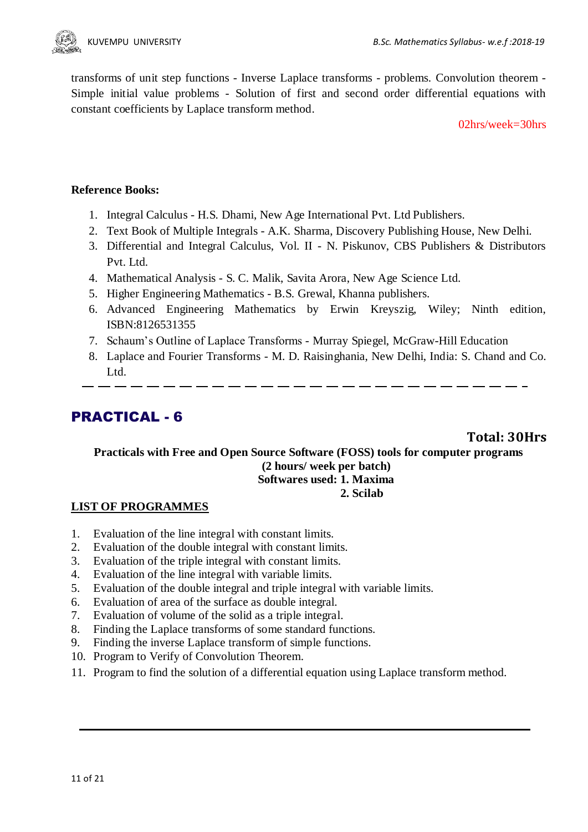

transforms of unit step functions - Inverse Laplace transforms - problems. Convolution theorem - Simple initial value problems - Solution of first and second order differential equations with constant coefficients by Laplace transform method.

02hrs/week=30hrs

## **Reference Books:**

- 1. Integral Calculus H.S. Dhami, New Age International Pvt. Ltd Publishers.
- 2. Text Book of Multiple Integrals A.K. Sharma, Discovery Publishing House, New Delhi.
- 3. Differential and Integral Calculus, Vol. II N. Piskunov, CBS Publishers & Distributors Pvt. Ltd.
- 4. Mathematical Analysis S. C. Malik, Savita Arora, New Age Science Ltd.
- 5. Higher Engineering Mathematics B.S. Grewal, Khanna publishers.
- 6. Advanced Engineering Mathematics by Erwin Kreyszig, Wiley; Ninth edition, ISBN:8126531355
- 7. Schaum's Outline of Laplace Transforms Murray Spiegel, McGraw-Hill Education
- 8. Laplace and Fourier Transforms M. D. Raisinghania, New Delhi, India: S. Chand and Co. Ltd.

## PRACTICAL - 6

**Total: 30Hrs**

#### **Practicals with Free and Open Source Software (FOSS) tools for computer programs (2 hours/ week per batch) Softwares used: 1. Maxima 2. Scilab**

#### **LIST OF PROGRAMMES**

- 1. Evaluation of the line integral with constant limits.
- 2. Evaluation of the double integral with constant limits.
- 3. Evaluation of the triple integral with constant limits.
- 4. Evaluation of the line integral with variable limits.
- 5. Evaluation of the double integral and triple integral with variable limits.
- 6. Evaluation of area of the surface as double integral.
- 7. Evaluation of volume of the solid as a triple integral.
- 8. Finding the Laplace transforms of some standard functions.
- 9. Finding the inverse Laplace transform of simple functions.
- 10. Program to Verify of Convolution Theorem.
- 11. Program to find the solution of a differential equation using Laplace transform method.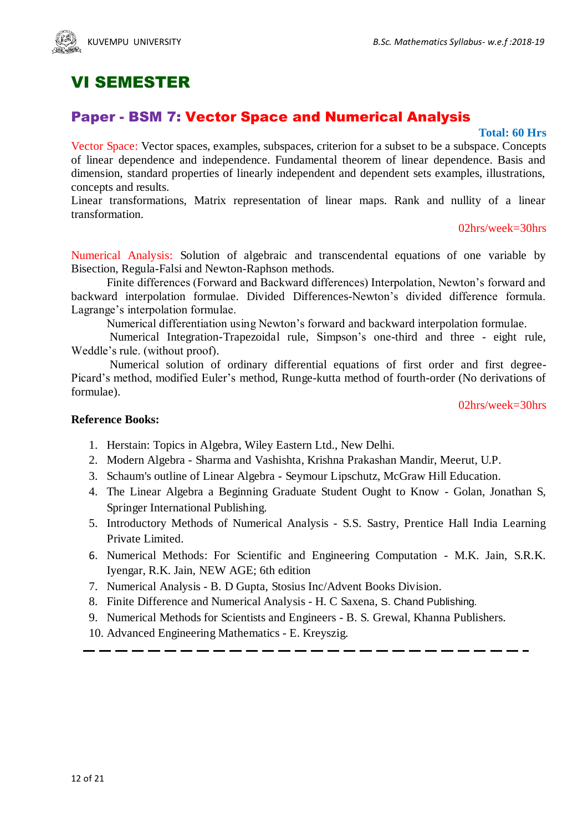

## VI SEMESTER

## Paper - BSM 7: Vector Space and Numerical Analysis

#### **Total: 60 Hrs**

Vector Space: Vector spaces, examples, subspaces, criterion for a subset to be a subspace. Concepts of linear dependence and independence. Fundamental theorem of linear dependence. Basis and dimension, standard properties of linearly independent and dependent sets examples, illustrations, concepts and results.

Linear transformations, Matrix representation of linear maps. Rank and nullity of a linear transformation.

#### 02hrs/week=30hrs

Numerical Analysis: Solution of algebraic and transcendental equations of one variable by Bisection, Regula-Falsi and Newton-Raphson methods.

Finite differences (Forward and Backward differences) Interpolation, Newton's forward and backward interpolation formulae. Divided Differences-Newton's divided difference formula. Lagrange's interpolation formulae.

Numerical differentiation using Newton's forward and backward interpolation formulae.

Numerical Integration-Trapezoidal rule, Simpson's one-third and three - eight rule, Weddle's rule. (without proof).

Numerical solution of ordinary differential equations of first order and first degree-Picard's method, modified Euler's method, Runge-kutta method of fourth-order (No derivations of formulae).

02hrs/week=30hrs

## **Reference Books:**

- 1. Herstain: Topics in Algebra, Wiley Eastern Ltd., New Delhi.
- 2. Modern Algebra Sharma and Vashishta, Krishna Prakashan Mandir, Meerut, U.P.
- 3. Schaum's outline of Linear Algebra Seymour Lipschutz, McGraw Hill Education.
- 4. The Linear Algebra a Beginning Graduate Student Ought to Know Golan, Jonathan S, Springer International Publishing.
- 5. Introductory Methods of Numerical Analysis S.S. Sastry, Prentice Hall India Learning Private Limited.
- 6. Numerical Methods: For Scientific and Engineering Computation M.K. Jain, S.R.K. Iyengar, R.K. Jain, NEW AGE; 6th edition
- 7. Numerical Analysis B. D Gupta, Stosius Inc/Advent Books Division.
- 8. Finite Difference and Numerical Analysis H. C Saxena, S. Chand Publishing.
- 9. Numerical Methods for Scientists and Engineers B. S. Grewal, Khanna Publishers.
- 10. Advanced Engineering Mathematics E. Kreyszig.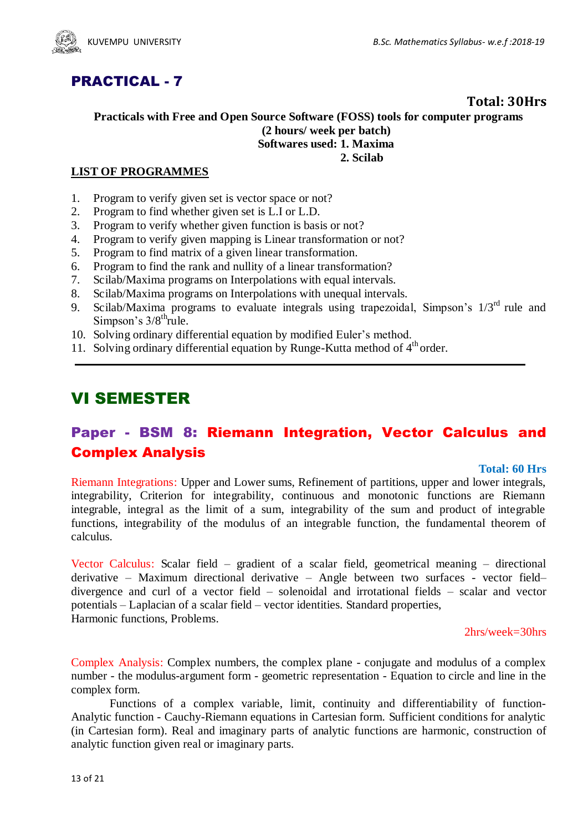

## PRACTICAL - 7

## **Total: 30Hrs**

### **Practicals with Free and Open Source Software (FOSS) tools for computer programs (2 hours/ week per batch) Softwares used: 1. Maxima 2. Scilab**

## **LIST OF PROGRAMMES**

- 1. Program to verify given set is vector space or not?
- 2. Program to find whether given set is L.I or L.D.
- 3. Program to verify whether given function is basis or not?
- 4. Program to verify given mapping is Linear transformation or not?
- 5. Program to find matrix of a given linear transformation.
- 6. Program to find the rank and nullity of a linear transformation?
- 7. Scilab/Maxima programs on Interpolations with equal intervals.
- 8. Scilab/Maxima programs on Interpolations with unequal intervals.
- 9. Scilab/Maxima programs to evaluate integrals using trapezoidal, Simpson's  $1/3<sup>rd</sup>$  rule and Simpson's  $3/8^{\text{th}}$  rule.
- 10. Solving ordinary differential equation by modified Euler's method.
- 11. Solving ordinary differential equation by Runge-Kutta method of 4<sup>th</sup> order.

## VI SEMESTER

## Paper - BSM 8: Riemann Integration, Vector Calculus and Complex Analysis

#### **Total: 60 Hrs**

Riemann Integrations: Upper and Lower sums, Refinement of partitions, upper and lower integrals, integrability, Criterion for integrability, continuous and monotonic functions are Riemann integrable, integral as the limit of a sum, integrability of the sum and product of integrable functions, integrability of the modulus of an integrable function, the fundamental theorem of calculus.

Vector Calculus: Scalar field – gradient of a scalar field, geometrical meaning – directional derivative – Maximum directional derivative – Angle between two surfaces - vector field– divergence and curl of a vector field – solenoidal and irrotational fields – scalar and vector potentials – Laplacian of a scalar field – vector identities. Standard properties, Harmonic functions, Problems.

2hrs/week=30hrs

Complex Analysis: Complex numbers, the complex plane - conjugate and modulus of a complex number - the modulus-argument form - geometric representation - Equation to circle and line in the complex form.

 Functions of a complex variable, limit, continuity and differentiability of function-Analytic function - Cauchy-Riemann equations in Cartesian form. Sufficient conditions for analytic (in Cartesian form). Real and imaginary parts of analytic functions are harmonic, construction of analytic function given real or imaginary parts.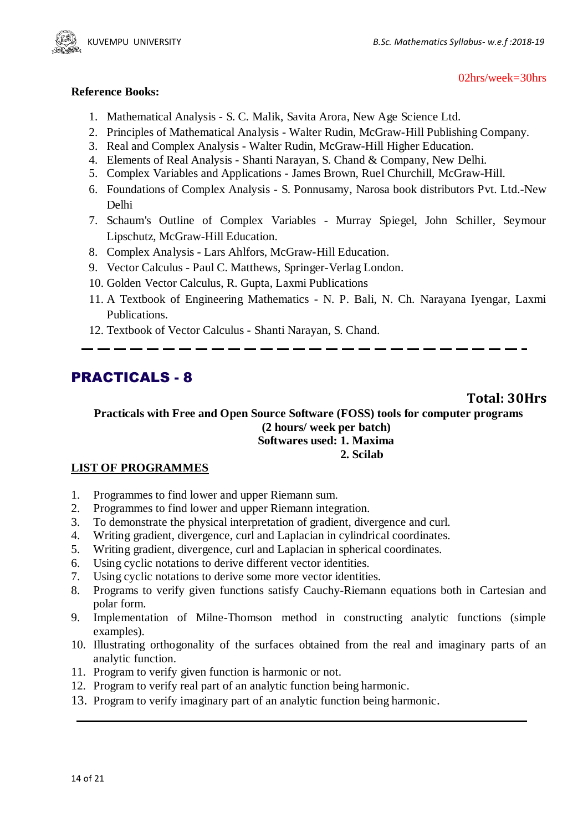

#### 02hrs/week=30hrs

### **Reference Books:**

- 1. Mathematical Analysis S. C. Malik, Savita Arora, New Age Science Ltd.
- 2. Principles of Mathematical Analysis Walter Rudin, McGraw-Hill Publishing Company.
- 3. Real and Complex Analysis Walter Rudin, McGraw-Hill Higher Education.
- 4. Elements of Real Analysis Shanti Narayan, S. Chand & Company, New Delhi.
- 5. Complex Variables and Applications James Brown, Ruel Churchill, McGraw-Hill.
- 6. Foundations of Complex Analysis S. Ponnusamy, Narosa book distributors Pvt. Ltd.-New Delhi
- 7. Schaum's Outline of Complex Variables Murray Spiegel, John Schiller, Seymour Lipschutz, McGraw-Hill Education.
- 8. Complex Analysis [Lars Ahlfors,](https://www.amazon.com/s/ref=dp_byline_sr_book_1?ie=UTF8&text=Lars+Ahlfors&search-alias=books&field-author=Lars+Ahlfors&sort=relevancerank) McGraw-Hill Education.
- 9. Vector Calculus Paul C. Matthews, Springer-Verlag London.
- 10. Golden Vector Calculus, R. Gupta, Laxmi Publications
- 11. A Textbook of Engineering Mathematics N. P. Bali, N. Ch. Narayana Iyengar, Laxmi Publications.
- 12. Textbook of Vector Calculus Shanti Narayan, S. Chand.

## PRACTICALS - 8

**Total: 30Hrs**

**Practicals with Free and Open Source Software (FOSS) tools for computer programs (2 hours/ week per batch) Softwares used: 1. Maxima 2. Scilab**

## **LIST OF PROGRAMMES**

- 1. Programmes to find lower and upper Riemann sum.
- 2. Programmes to find lower and upper Riemann integration.
- 3. To demonstrate the physical interpretation of gradient, divergence and curl.
- 4. Writing gradient, divergence, curl and Laplacian in cylindrical coordinates.
- 5. Writing gradient, divergence, curl and Laplacian in spherical coordinates.
- 6. Using cyclic notations to derive different vector identities.
- 7. Using cyclic notations to derive some more vector identities.
- 8. Programs to verify given functions satisfy Cauchy-Riemann equations both in Cartesian and polar form.
- 9. Implementation of Milne-Thomson method in constructing analytic functions (simple examples).
- 10. Illustrating orthogonality of the surfaces obtained from the real and imaginary parts of an analytic function.
- 11. Program to verify given function is harmonic or not.
- 12. Program to verify real part of an analytic function being harmonic.
- 13. Program to verify imaginary part of an analytic function being harmonic.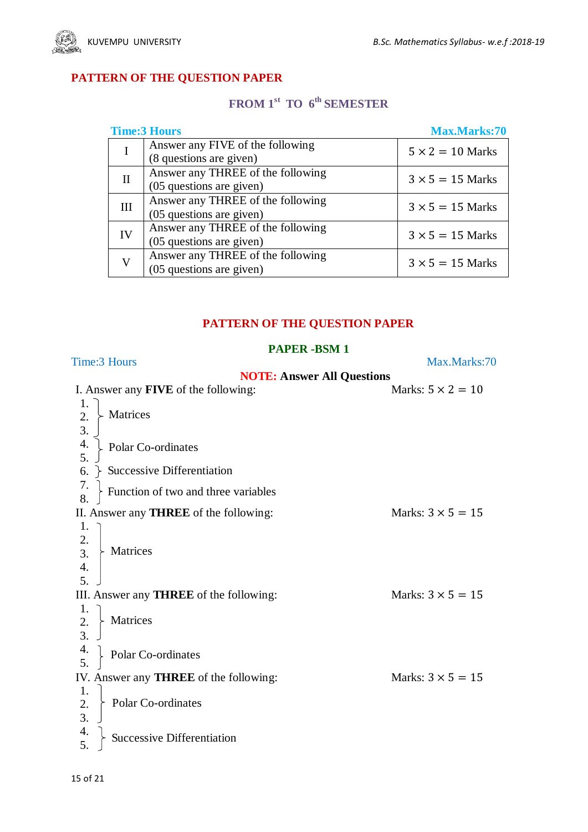

## **PATTERN OF THE QUESTION PAPER**

## **FROM 1st TO 6 th SEMESTER**

|          | <b>Time:3 Hours</b>               | <b>Max.Marks:70</b>     |
|----------|-----------------------------------|-------------------------|
|          | Answer any FIVE of the following  | $5 \times 2 = 10$ Marks |
|          | (8 questions are given)           |                         |
| $\rm II$ | Answer any THREE of the following | $3 \times 5 = 15$ Marks |
|          | (05 questions are given)          |                         |
| III      | Answer any THREE of the following | $3 \times 5 = 15$ Marks |
|          | (05 questions are given)          |                         |
| IV       | Answer any THREE of the following | $3 \times 5 = 15$ Marks |
|          | (05 questions are given)          |                         |
|          | Answer any THREE of the following | $3 \times 5 = 15$ Marks |
|          | (05 questions are given)          |                         |

## **PATTERN OF THE QUESTION PAPER**

## **PAPER -BSM 1**

| Time:3 Hours                                    | Max.Marks:70             |
|-------------------------------------------------|--------------------------|
| <b>NOTE: Answer All Questions</b>               |                          |
| I. Answer any <b>FIVE</b> of the following:     | Marks: $5 \times 2 = 10$ |
| 1.                                              |                          |
| Matrices<br>2.                                  |                          |
| 3.                                              |                          |
| 4.<br>Polar Co-ordinates                        |                          |
| 5.                                              |                          |
| 6.<br><b>Successive Differentiation</b>         |                          |
| 7.<br>Function of two and three variables<br>8. |                          |
| II. Answer any <b>THREE</b> of the following:   | Marks: $3 \times 5 = 15$ |
| 1.                                              |                          |
| 2.                                              |                          |
| $\overline{3}$ .<br>Matrices                    |                          |
| 4.                                              |                          |
| 5.                                              |                          |
| III. Answer any <b>THREE</b> of the following:  | Marks: $3 \times 5 = 15$ |
| 1.                                              |                          |
| $\overline{2}$ .<br>Matrices                    |                          |
| $\overline{3}$ .                                |                          |
| $\frac{4}{5}$<br>Polar Co-ordinates             |                          |
|                                                 |                          |
| IV. Answer any <b>THREE</b> of the following:   | Marks: $3 \times 5 = 15$ |
| 1.                                              |                          |
| Polar Co-ordinates<br>2.                        |                          |
| 3.                                              |                          |
| 4.<br>Successive Differentiation<br>5.          |                          |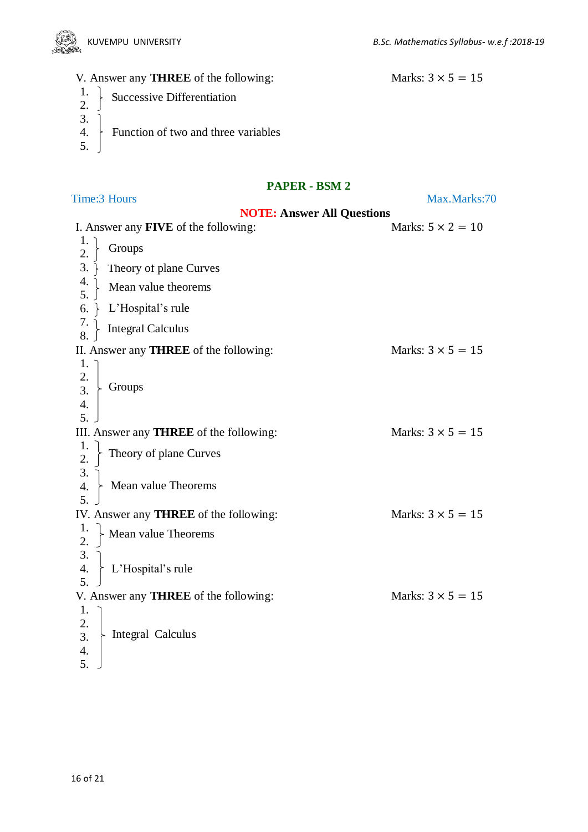

## V. Answer any **THREE** of the following: Marks:  $3 \times 5 = 15$

- Successive Differentiation 1. 2.
- 3.
- Function of two and three variables 4.
- 5.

## **PAPER - BSM 2**

Time:3 Hours Max.Marks:70

|                                                          | <b>NOTE: Answer All Questions</b>             |                          |  |
|----------------------------------------------------------|-----------------------------------------------|--------------------------|--|
|                                                          | I. Answer any <b>FIVE</b> of the following:   | Marks: $5 \times 2 = 10$ |  |
| 1.<br>2.                                                 | Groups                                        |                          |  |
| 3.                                                       | Theory of plane Curves                        |                          |  |
| 4.<br>5.                                                 | Mean value theorems                           |                          |  |
| 6.                                                       | L'Hospital's rule                             |                          |  |
| $\frac{7}{8}$                                            | <b>Integral Calculus</b>                      |                          |  |
|                                                          | II. Answer any <b>THREE</b> of the following: | Marks: $3 \times 5 = 15$ |  |
| 1.<br>2.<br>$\overline{3}$ .<br>$\boldsymbol{4}$ .<br>5. | Groups                                        |                          |  |
|                                                          | III. Answer any THREE of the following:       | Marks: $3 \times 5 = 15$ |  |
| 1.<br>2.                                                 | Theory of plane Curves                        |                          |  |
| 3.<br>4.<br>5 <sub>1</sub>                               | Mean value Theorems                           |                          |  |
|                                                          | IV. Answer any <b>THREE</b> of the following: | Marks: $3 \times 5 = 15$ |  |
| 1.<br>2.                                                 | Mean value Theorems                           |                          |  |
| 3.<br>$\overline{4}$ .                                   | L'Hospital's rule                             |                          |  |
|                                                          | V. Answer any <b>THREE</b> of the following:  | Marks: $3 \times 5 = 15$ |  |
| 1.<br>2.<br>3.<br>4.<br>5.                               | Integral Calculus                             |                          |  |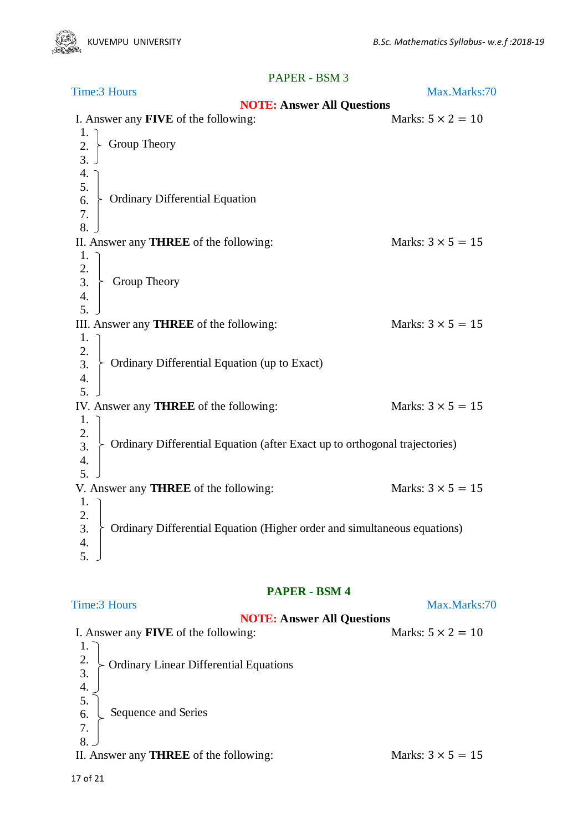| Time: 3 Hours                                                                              | Max.Marks:70             |
|--------------------------------------------------------------------------------------------|--------------------------|
| <b>NOTE: Answer All Questions</b>                                                          |                          |
| I. Answer any <b>FIVE</b> of the following:                                                | Marks: $5 \times 2 = 10$ |
| 1.<br>Group Theory<br>2.<br>$\overline{3}$ .                                               |                          |
| 4.                                                                                         |                          |
| 5.<br><b>Ordinary Differential Equation</b><br>6.                                          |                          |
| 7.<br>8.                                                                                   |                          |
| II. Answer any <b>THREE</b> of the following:<br>1.                                        | Marks: $3 \times 5 = 15$ |
| 2.                                                                                         |                          |
| 3.<br>Group Theory<br>4.                                                                   |                          |
| 5.                                                                                         |                          |
| III. Answer any <b>THREE</b> of the following:                                             | Marks: $3 \times 5 = 15$ |
| 1.<br>2.                                                                                   |                          |
| Ordinary Differential Equation (up to Exact)<br>3.<br>4.                                   |                          |
| 5 <sub>1</sub>                                                                             |                          |
| IV. Answer any <b>THREE</b> of the following:<br>1.                                        | Marks: $3 \times 5 = 15$ |
| 2.<br>Ordinary Differential Equation (after Exact up to orthogonal trajectories)<br>3.     |                          |
| 4.<br>5.                                                                                   |                          |
| V. Answer any <b>THREE</b> of the following:<br>1.                                         | Marks: $3 \times 5 = 15$ |
| 2.<br>Ordinary Differential Equation (Higher order and simultaneous equations)<br>3.<br>4. |                          |
| 5.                                                                                         |                          |

## **PAPER - BSM 4**

Time:3 Hours Max.Marks:70

Sequence and Series Ordinary Linear Differential Equations **NOTE: Answer All Questions** I. Answer any **FIVE** of the following: Marks:  $5 \times 2 = 10$ 1. 2. 3. 4. 5. 6. 7. 8. II. Answer any **THREE** of the following: Marks:  $3 \times 5 = 15$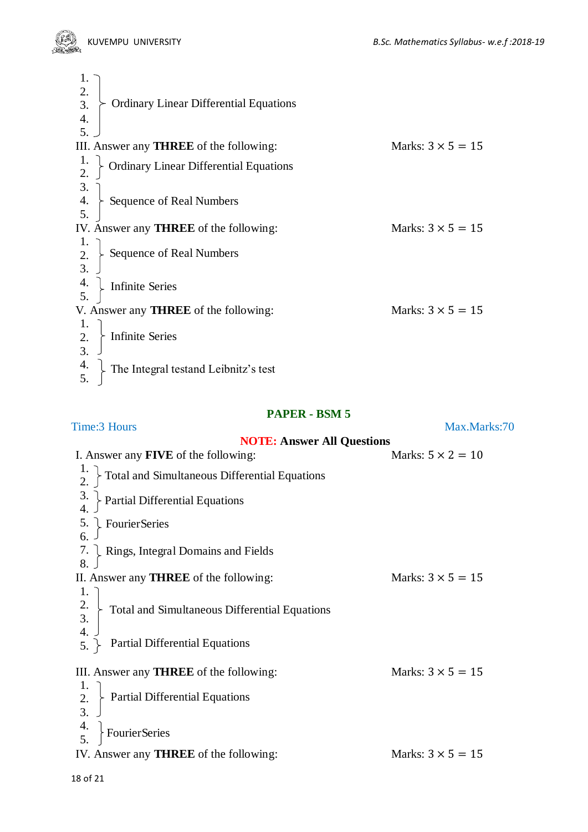

| 2.<br><b>Ordinary Linear Differential Equations</b><br>3. |                          |
|-----------------------------------------------------------|--------------------------|
| $\overline{4}$ .                                          |                          |
| 5.                                                        |                          |
| III. Answer any <b>THREE</b> of the following:            | Marks: $3 \times 5 = 15$ |
| <b>Ordinary Linear Differential Equations</b>             |                          |
| 3.                                                        |                          |
| $\boldsymbol{4}$ .<br><b>Sequence of Real Numbers</b>     |                          |
| 5.                                                        |                          |
| IV. Answer any <b>THREE</b> of the following:             | Marks: $3 \times 5 = 15$ |
|                                                           |                          |
| Sequence of Real Numbers<br>2.                            |                          |
|                                                           |                          |
| 4.<br><b>Infinite Series</b>                              |                          |
|                                                           |                          |
| V. Answer any <b>THREE</b> of the following:              | Marks: $3 \times 5 = 15$ |
| 1.                                                        |                          |
| <b>Infinite Series</b><br>2.                              |                          |
| 3.                                                        |                          |
| 4.<br>The Integral testand Leibnitz's test                |                          |

| Time: 3 Hours                                                                 | Max.Marks:70             |
|-------------------------------------------------------------------------------|--------------------------|
| <b>NOTE: Answer All Questions</b>                                             |                          |
| I. Answer any <b>FIVE</b> of the following:                                   | Marks: $5 \times 2 = 10$ |
| Total and Simultaneous Differential Equations                                 |                          |
| $\frac{3}{4}$<br>Partial Differential Equations                               |                          |
| 5.<br>Fourier Series                                                          |                          |
| 6.                                                                            |                          |
| 7.<br>$\downarrow$ Rings, Integral Domains and Fields<br>8.                   |                          |
| II. Answer any <b>THREE</b> of the following:                                 | Marks: $3 \times 5 = 15$ |
| 1.                                                                            |                          |
| $\frac{2}{3}$ .<br>- Total and Simultaneous Differential Equations            |                          |
| $\overline{4}$ .                                                              |                          |
| <b>Partial Differential Equations</b><br>$5.$ }                               |                          |
| III. Answer any <b>THREE</b> of the following:                                | Marks: $3 \times 5 = 15$ |
| 1.                                                                            |                          |
| $\overline{2}$ .<br><b>Partial Differential Equations</b><br>$\overline{3}$ . |                          |
| $\frac{4}{5}$<br>FourierSeries                                                |                          |
|                                                                               |                          |
| IV. Answer any <b>THREE</b> of the following:                                 | Marks: $3 \times 5 = 15$ |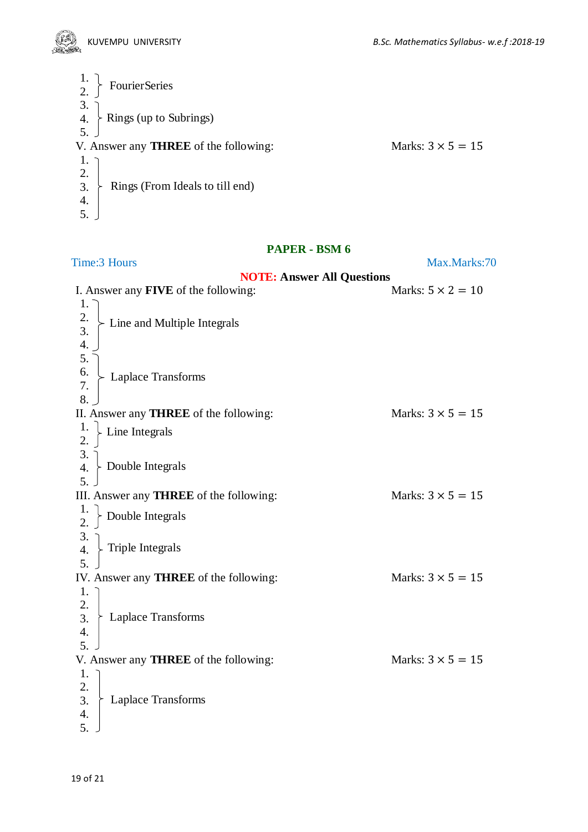

| $\frac{1}{2}$ .<br><b>FourierSeries</b>      |                          |
|----------------------------------------------|--------------------------|
| 3.<br>$\angle$ Rings (up to Subrings)<br>4.  |                          |
| V. Answer any <b>THREE</b> of the following: | Marks: $3 \times 5 = 15$ |
| 1.<br>2.                                     |                          |
| Rings (From Ideals to till end)<br>3.<br>4.  |                          |
|                                              |                          |

### Time:3 Hours Max.Marks:70

## **NOTE: Answer All Questions**

| I. Answer any <b>FIVE</b> of the following:    | Marks: $5 \times 2 = 10$ |
|------------------------------------------------|--------------------------|
| 1.                                             |                          |
| 2.<br>- Line and Multiple Integrals            |                          |
| 3.                                             |                          |
| 4.                                             |                          |
| 5.                                             |                          |
| 6.                                             |                          |
| <b>Laplace Transforms</b><br>7.                |                          |
| 8.                                             |                          |
| II. Answer any <b>THREE</b> of the following:  | Marks: $3 \times 5 = 15$ |
| Line Integrals                                 |                          |
| 2.                                             |                          |
| 3.                                             |                          |
| - Double Integrals<br>$\overline{4}$ .         |                          |
| 5.                                             |                          |
| III. Answer any <b>THREE</b> of the following: | Marks: $3 \times 5 = 15$ |
|                                                |                          |
| Double Integrals<br>$\overline{2}$ .           |                          |
| 3.                                             |                          |
| Triple Integrals<br>$\overline{4}$ .           |                          |
| $\overline{5}$ .                               |                          |
| IV. Answer any <b>THREE</b> of the following:  | Marks: $3 \times 5 = 15$ |
| 1.                                             |                          |
| 2.                                             |                          |
| <b>Laplace Transforms</b><br>3.                |                          |
| 4.                                             |                          |
| 5.                                             |                          |
| V. Answer any <b>THREE</b> of the following:   | Marks: $3 \times 5 = 15$ |
| 1.                                             |                          |
| 2.                                             |                          |
| 3.<br><b>Laplace Transforms</b>                |                          |
| 4.                                             |                          |
| 5.                                             |                          |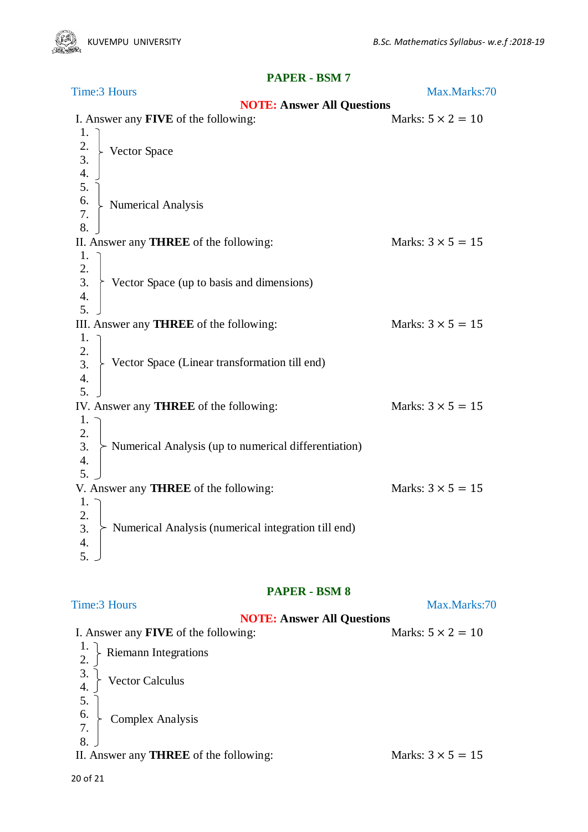Numerical Analysis Vector Space Vector Space (up to basis and dimensions) Numerical Analysis (up to numerical differentiation) Vector Space (Linear transformation till end) Numerical Analysis (numerical integration till end) Time:3 Hours Max.Marks:70 **NOTE: Answer All Questions** I. Answer any **FIVE** of the following: Marks:  $5 \times 2 = 10$ 1. 2. 3. 4. 5. 6. 7. 8. II. Answer any **THREE** of the following: Marks:  $3 \times 5 = 15$ 1. 2. 3. 4. 5. III. Answer any **THREE** of the following: Marks:  $3 \times 5 = 15$ 1. 2. 3. 4. 5. IV. Answer any **THREE** of the following: Marks:  $3 \times 5 = 15$ 1. 2. 3. 4. 5. V. Answer any **THREE** of the following: Marks:  $3 \times 5 = 15$ 1. 2. 3. 4. 5.

## **PAPER - BSM 8**

Riemann Integrations Complex Analysis Vector Calculus Time:3 Hours Max.Marks:70 **NOTE: Answer All Questions** I. Answer any **FIVE** of the following: Marks:  $5 \times 2 = 10$ 1. 2. 3. 4. 5. 6. 7. 8. II. Answer any **THREE** of the following: Marks:  $3 \times 5 = 15$